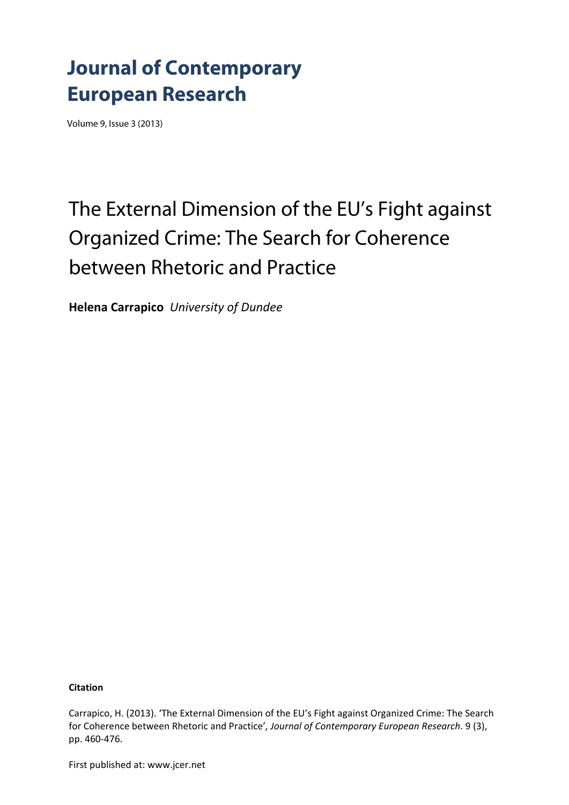## **Journal of Contemporary European Research**

Volume 9, Issue 3 (2013)

# The External Dimension of the EU's Fight against Organized Crime: The Search for Coherence between Rhetoric and Practice

**Helena Carrapico** *University of Dundee*

**Citation**

Carrapico, H. (2013). 'The External Dimension of the EU's Fight against Organized Crime: The Search for Coherence between Rhetoric and Practice'*, Journal of Contemporary European Research*. 9 (3), pp. 460‐476.

First published at: www.jcer.net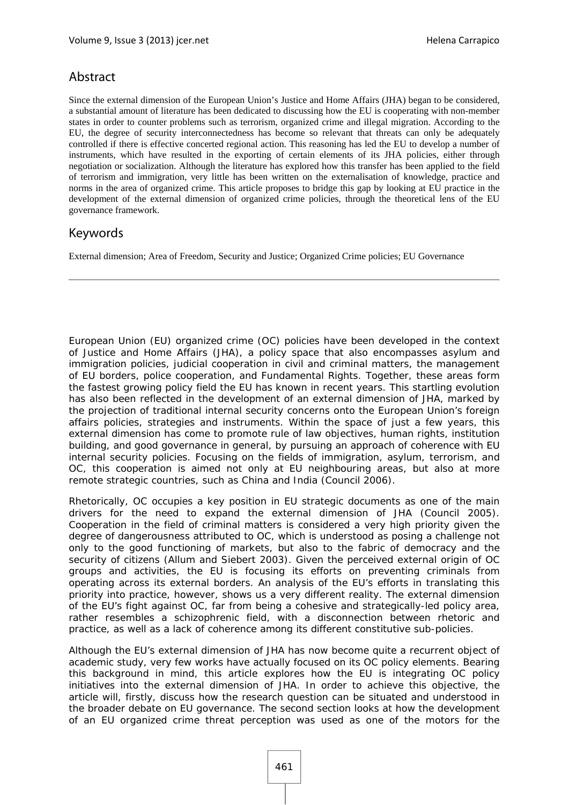### Abstract

Since the external dimension of the European Union's Justice and Home Affairs (JHA) began to be considered, a substantial amount of literature has been dedicated to discussing how the EU is cooperating with non-member states in order to counter problems such as terrorism, organized crime and illegal migration. According to the EU, the degree of security interconnectedness has become so relevant that threats can only be adequately controlled if there is effective concerted regional action. This reasoning has led the EU to develop a number of instruments, which have resulted in the exporting of certain elements of its JHA policies, either through negotiation or socialization. Although the literature has explored how this transfer has been applied to the field of terrorism and immigration, very little has been written on the externalisation of knowledge, practice and norms in the area of organized crime. This article proposes to bridge this gap by looking at EU practice in the development of the external dimension of organized crime policies, through the theoretical lens of the EU governance framework.

## Keywords

External dimension; Area of Freedom, Security and Justice; Organized Crime policies; EU Governance

European Union (EU) organized crime (OC) policies have been developed in the context of Justice and Home Affairs (JHA), a policy space that also encompasses asylum and immigration policies, judicial cooperation in civil and criminal matters, the management of EU borders, police cooperation, and Fundamental Rights. Together, these areas form the fastest growing policy field the EU has known in recent years. This startling evolution has also been reflected in the development of an external dimension of JHA, marked by the projection of traditional internal security concerns onto the European Union's foreign affairs policies, strategies and instruments. Within the space of just a few years, this external dimension has come to promote rule of law objectives, human rights, institution building, and good governance in general, by pursuing an approach of coherence with EU internal security policies. Focusing on the fields of immigration, asylum, terrorism, and OC, this cooperation is aimed not only at EU neighbouring areas, but also at more remote strategic countries, such as China and India (Council 2006).

Rhetorically, OC occupies a key position in EU strategic documents as one of the main drivers for the need to expand the external dimension of JHA (Council 2005). Cooperation in the field of criminal matters is considered a very high priority given the degree of dangerousness attributed to OC, which is understood as posing a challenge not only to the good functioning of markets, but also to the fabric of democracy and the security of citizens (Allum and Siebert 2003). Given the perceived external origin of OC groups and activities, the EU is focusing its efforts on preventing criminals from operating across its external borders. An analysis of the EU's efforts in translating this priority into practice, however, shows us a very different reality. The external dimension of the EU's fight against OC, far from being a cohesive and strategically-led policy area, rather resembles a schizophrenic field, with a disconnection between rhetoric and practice, as well as a lack of coherence among its different constitutive sub-policies.

Although the EU's external dimension of JHA has now become quite a recurrent object of academic study, very few works have actually focused on its OC policy elements. Bearing this background in mind, this article explores how the EU is integrating OC policy initiatives into the external dimension of JHA. In order to achieve this objective, the article will, firstly, discuss how the research question can be situated and understood in the broader debate on EU governance. The second section looks at how the development of an EU organized crime threat perception was used as one of the motors for the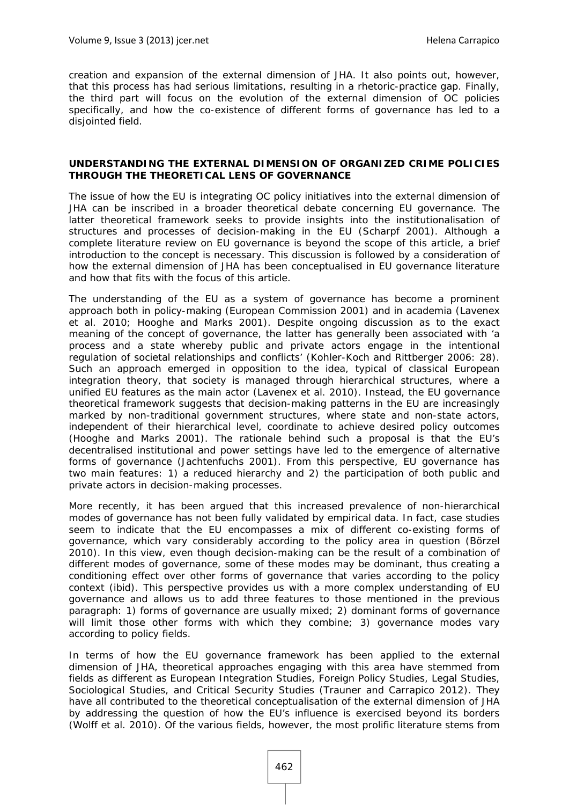creation and expansion of the external dimension of JHA. It also points out, however, that this process has had serious limitations, resulting in a rhetoric-practice gap. Finally, the third part will focus on the evolution of the external dimension of OC policies specifically, and how the co-existence of different forms of governance has led to a disjointed field.

#### **UNDERSTANDING THE EXTERNAL DIMENSION OF ORGANIZED CRIME POLICIES THROUGH THE THEORETICAL LENS OF GOVERNANCE**

The issue of how the EU is integrating OC policy initiatives into the external dimension of JHA can be inscribed in a broader theoretical debate concerning EU governance. The latter theoretical framework seeks to provide insights into the institutionalisation of structures and processes of decision-making in the EU (Scharpf 2001). Although a complete literature review on EU governance is beyond the scope of this article, a brief introduction to the concept is necessary. This discussion is followed by a consideration of how the external dimension of JHA has been conceptualised in EU governance literature and how that fits with the focus of this article.

The understanding of the EU as a system of governance has become a prominent approach both in policy-making (European Commission 2001) and in academia (Lavenex et al. 2010; Hooghe and Marks 2001). Despite ongoing discussion as to the exact meaning of the concept of governance, the latter has generally been associated with 'a process and a state whereby public and private actors engage in the intentional regulation of societal relationships and conflicts' (Kohler-Koch and Rittberger 2006: 28). Such an approach emerged in opposition to the idea, typical of classical European integration theory, that society is managed through hierarchical structures, where a unified EU features as the main actor (Lavenex et al. 2010). Instead, the EU governance theoretical framework suggests that decision-making patterns in the EU are increasingly marked by non-traditional government structures, where state and non-state actors, independent of their hierarchical level, coordinate to achieve desired policy outcomes (Hooghe and Marks 2001). The rationale behind such a proposal is that the EU's decentralised institutional and power settings have led to the emergence of alternative forms of governance (Jachtenfuchs 2001). From this perspective, EU governance has two main features: 1) a reduced hierarchy and 2) the participation of both public and private actors in decision-making processes.

More recently, it has been argued that this increased prevalence of non-hierarchical modes of governance has not been fully validated by empirical data. In fact, case studies seem to indicate that the EU encompasses a mix of different co-existing forms of governance, which vary considerably according to the policy area in question (Börzel 2010). In this view, even though decision-making can be the result of a combination of different modes of governance, some of these modes may be dominant, thus creating a conditioning effect over other forms of governance that varies according to the policy context (ibid). This perspective provides us with a more complex understanding of EU governance and allows us to add three features to those mentioned in the previous paragraph: 1) forms of governance are usually mixed; 2) dominant forms of governance will limit those other forms with which they combine; 3) governance modes vary according to policy fields.

In terms of how the EU governance framework has been applied to the external dimension of JHA, theoretical approaches engaging with this area have stemmed from fields as different as European Integration Studies, Foreign Policy Studies, Legal Studies, Sociological Studies, and Critical Security Studies (Trauner and Carrapico 2012). They have all contributed to the theoretical conceptualisation of the external dimension of JHA by addressing the question of how the EU's influence is exercised beyond its borders (Wolff et al. 2010). Of the various fields, however, the most prolific literature stems from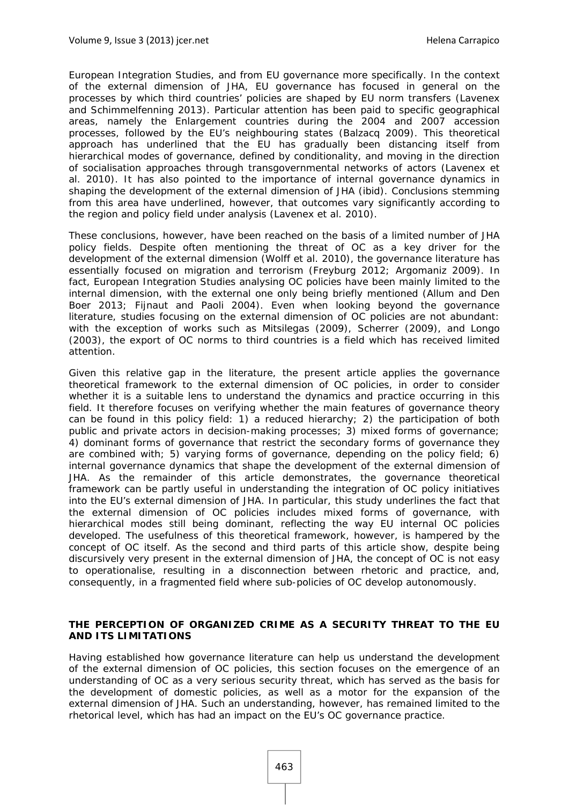European Integration Studies, and from EU governance more specifically. In the context of the external dimension of JHA, EU governance has focused in general on the processes by which third countries' policies are shaped by EU norm transfers (Lavenex and Schimmelfenning 2013). Particular attention has been paid to specific geographical areas, namely the Enlargement countries during the 2004 and 2007 accession processes, followed by the EU's neighbouring states (Balzacq 2009). This theoretical approach has underlined that the EU has gradually been distancing itself from hierarchical modes of governance, defined by conditionality, and moving in the direction of socialisation approaches through transgovernmental networks of actors (Lavenex et al. 2010). It has also pointed to the importance of internal governance dynamics in shaping the development of the external dimension of JHA (ibid). Conclusions stemming from this area have underlined, however, that outcomes vary significantly according to the region and policy field under analysis (Lavenex et al. 2010).

These conclusions, however, have been reached on the basis of a limited number of JHA policy fields. Despite often mentioning the threat of OC as a key driver for the development of the external dimension (Wolff et al. 2010), the governance literature has essentially focused on migration and terrorism (Freyburg 2012; Argomaniz 2009). In fact, European Integration Studies analysing OC policies have been mainly limited to the internal dimension, with the external one only being briefly mentioned (Allum and Den Boer 2013; Fijnaut and Paoli 2004). Even when looking beyond the governance literature, studies focusing on the external dimension of OC policies are not abundant: with the exception of works such as Mitsilegas (2009), Scherrer (2009), and Longo (2003), the export of OC norms to third countries is a field which has received limited attention.

Given this relative gap in the literature, the present article applies the governance theoretical framework to the external dimension of OC policies, in order to consider whether it is a suitable lens to understand the dynamics and practice occurring in this field. It therefore focuses on verifying whether the main features of governance theory can be found in this policy field: 1) a reduced hierarchy; 2) the participation of both public and private actors in decision-making processes; 3) mixed forms of governance; 4) dominant forms of governance that restrict the secondary forms of governance they are combined with; 5) varying forms of governance, depending on the policy field; 6) internal governance dynamics that shape the development of the external dimension of JHA. As the remainder of this article demonstrates, the governance theoretical framework can be partly useful in understanding the integration of OC policy initiatives into the EU's external dimension of JHA. In particular, this study underlines the fact that the external dimension of OC policies includes mixed forms of governance, with hierarchical modes still being dominant, reflecting the way EU internal OC policies developed. The usefulness of this theoretical framework, however, is hampered by the concept of OC itself. As the second and third parts of this article show, despite being discursively very present in the external dimension of JHA, the concept of OC is not easy to operationalise, resulting in a disconnection between rhetoric and practice, and, consequently, in a fragmented field where sub-policies of OC develop autonomously.

#### **THE PERCEPTION OF ORGANIZED CRIME AS A SECURITY THREAT TO THE EU AND ITS LIMITATIONS**

Having established how governance literature can help us understand the development of the external dimension of OC policies, this section focuses on the emergence of an understanding of OC as a very serious security threat, which has served as the basis for the development of domestic policies, as well as a motor for the expansion of the external dimension of JHA. Such an understanding, however, has remained limited to the rhetorical level, which has had an impact on the EU's OC governance practice.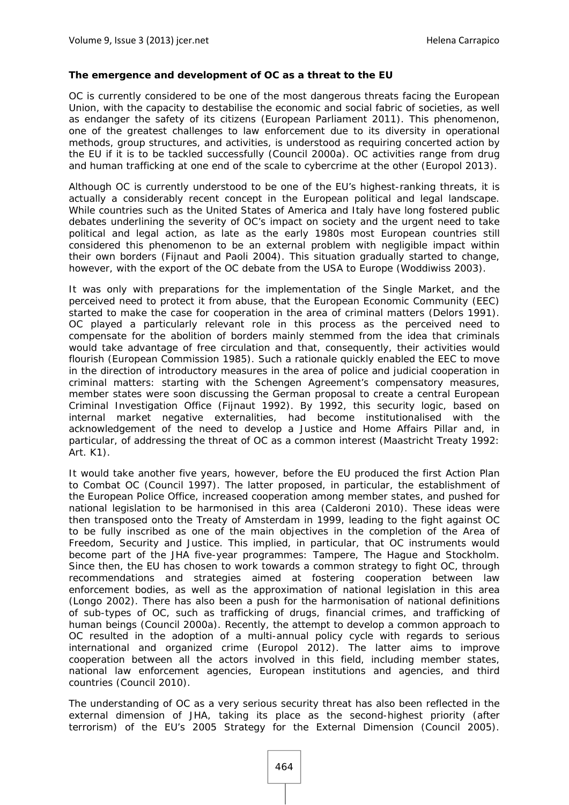#### **The emergence and development of OC as a threat to the EU**

OC is currently considered to be one of the most dangerous threats facing the European Union, with the capacity to destabilise the economic and social fabric of societies, as well as endanger the safety of its citizens (European Parliament 2011). This phenomenon, one of the greatest challenges to law enforcement due to its diversity in operational methods, group structures, and activities, is understood as requiring concerted action by the EU if it is to be tackled successfully (Council 2000a). OC activities range from drug and human trafficking at one end of the scale to cybercrime at the other (Europol 2013).

Although OC is currently understood to be one of the EU's highest-ranking threats, it is actually a considerably recent concept in the European political and legal landscape. While countries such as the United States of America and Italy have long fostered public debates underlining the severity of OC's impact on society and the urgent need to take political and legal action, as late as the early 1980s most European countries still considered this phenomenon to be an external problem with negligible impact within their own borders (Fijnaut and Paoli 2004). This situation gradually started to change, however, with the export of the OC debate from the USA to Europe (Woddiwiss 2003).

It was only with preparations for the implementation of the Single Market, and the perceived need to protect it from abuse, that the European Economic Community (EEC) started to make the case for cooperation in the area of criminal matters (Delors 1991). OC played a particularly relevant role in this process as the perceived need to compensate for the abolition of borders mainly stemmed from the idea that criminals would take advantage of free circulation and that, consequently, their activities would flourish (European Commission 1985). Such a rationale quickly enabled the EEC to move in the direction of introductory measures in the area of police and judicial cooperation in criminal matters: starting with the Schengen Agreement's compensatory measures, member states were soon discussing the German proposal to create a central European Criminal Investigation Office (Fijnaut 1992). By 1992, this security logic, based on internal market negative externalities, had become institutionalised with the acknowledgement of the need to develop a Justice and Home Affairs Pillar and, in particular, of addressing the threat of OC as a common interest (Maastricht Treaty 1992: Art. K1).

It would take another five years, however, before the EU produced the first Action Plan to Combat OC (Council 1997). The latter proposed, in particular, the establishment of the European Police Office, increased cooperation among member states, and pushed for national legislation to be harmonised in this area (Calderoni 2010). These ideas were then transposed onto the Treaty of Amsterdam in 1999, leading to the fight against OC to be fully inscribed as one of the main objectives in the completion of the Area of Freedom, Security and Justice. This implied, in particular, that OC instruments would become part of the JHA five-year programmes: Tampere, The Hague and Stockholm. Since then, the EU has chosen to work towards a common strategy to fight OC, through recommendations and strategies aimed at fostering cooperation between law enforcement bodies, as well as the approximation of national legislation in this area (Longo 2002). There has also been a push for the harmonisation of national definitions of sub-types of OC, such as trafficking of drugs, financial crimes, and trafficking of human beings (Council 2000a). Recently, the attempt to develop a common approach to OC resulted in the adoption of a multi-annual policy cycle with regards to serious international and organized crime (Europol 2012). The latter aims to improve cooperation between all the actors involved in this field, including member states, national law enforcement agencies, European institutions and agencies, and third countries (Council 2010).

The understanding of OC as a very serious security threat has also been reflected in the external dimension of JHA, taking its place as the second-highest priority (after terrorism) of the EU's 2005 Strategy for the External Dimension (Council 2005).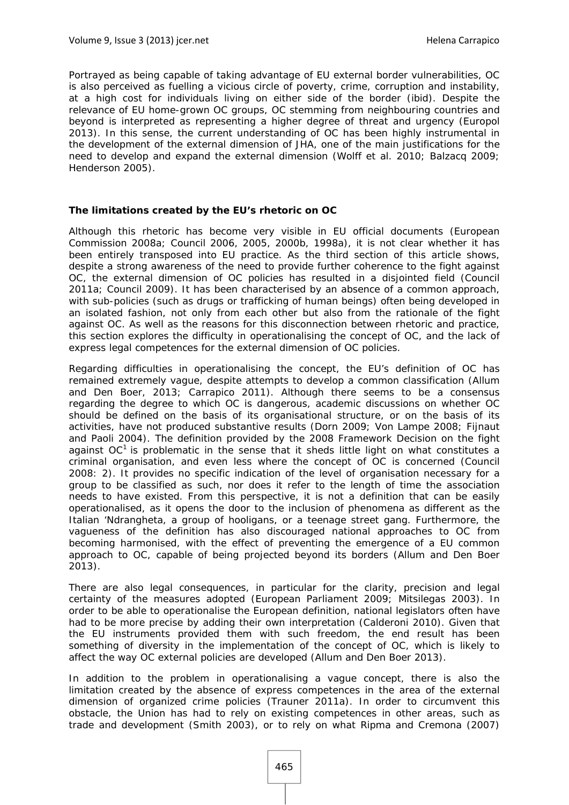Portrayed as being capable of taking advantage of EU external border vulnerabilities, OC is also perceived as fuelling a vicious circle of poverty, crime, corruption and instability, at a high cost for individuals living on either side of the border (ibid). Despite the relevance of EU home-grown OC groups, OC stemming from neighbouring countries and beyond is interpreted as representing a higher degree of threat and urgency (Europol 2013). In this sense, the current understanding of OC has been highly instrumental in the development of the external dimension of JHA, one of the main justifications for the need to develop and expand the external dimension (Wolff et al. 2010; Balzacq 2009; Henderson 2005).

#### **The limitations created by the EU's rhetoric on OC**

Although this rhetoric has become very visible in EU official documents (European Commission 2008a; Council 2006, 2005, 2000b, 1998a), it is not clear whether it has been entirely transposed into EU practice. As the third section of this article shows, despite a strong awareness of the need to provide further coherence to the fight against OC, the external dimension of OC policies has resulted in a disjointed field (Council 2011a; Council 2009). It has been characterised by an absence of a common approach, with sub-policies (such as drugs or trafficking of human beings) often being developed in an isolated fashion, not only from each other but also from the rationale of the fight against OC. As well as the reasons for this disconnection between rhetoric and practice, this section explores the difficulty in operationalising the concept of OC, and the lack of express legal competences for the external dimension of OC policies.

Regarding difficulties in operationalising the concept, the EU's definition of OC has remained extremely vague, despite attempts to develop a common classification (Allum and Den Boer, 2013; Carrapico 2011). Although there seems to be a consensus regarding the degree to which OC is dangerous, academic discussions on whether OC should be defined on the basis of its organisational structure, or on the basis of its activities, have not produced substantive results (Dorn 2009; Von Lampe 2008; Fijnaut and Paoli 2004). The definition provided by the 2008 Framework Decision on the fight against  $OC<sup>1</sup>$  is problematic in the sense that it sheds little light on what constitutes a criminal organisation, and even less where the concept of OC is concerned (Council 2008: 2). It provides no specific indication of the level of organisation necessary for a group to be classified as such, nor does it refer to the length of time the association needs to have existed. From this perspective, it is not a definition that can be easily operationalised, as it opens the door to the inclusion of phenomena as different as the Italian 'Ndrangheta, a group of hooligans, or a teenage street gang. Furthermore, the vagueness of the definition has also discouraged national approaches to OC from becoming harmonised, with the effect of preventing the emergence of a EU common approach to OC, capable of being projected beyond its borders (Allum and Den Boer 2013).

There are also legal consequences, in particular for the clarity, precision and legal certainty of the measures adopted (European Parliament 2009; Mitsilegas 2003). In order to be able to operationalise the European definition, national legislators often have had to be more precise by adding their own interpretation (Calderoni 2010). Given that the EU instruments provided them with such freedom, the end result has been something of diversity in the implementation of the concept of OC, which is likely to affect the way OC external policies are developed (Allum and Den Boer 2013).

In addition to the problem in operationalising a vague concept, there is also the limitation created by the absence of express competences in the area of the external dimension of organized crime policies (Trauner 2011a). In order to circumvent this obstacle, the Union has had to rely on existing competences in other areas, such as trade and development (Smith 2003), or to rely on what Ripma and Cremona (2007)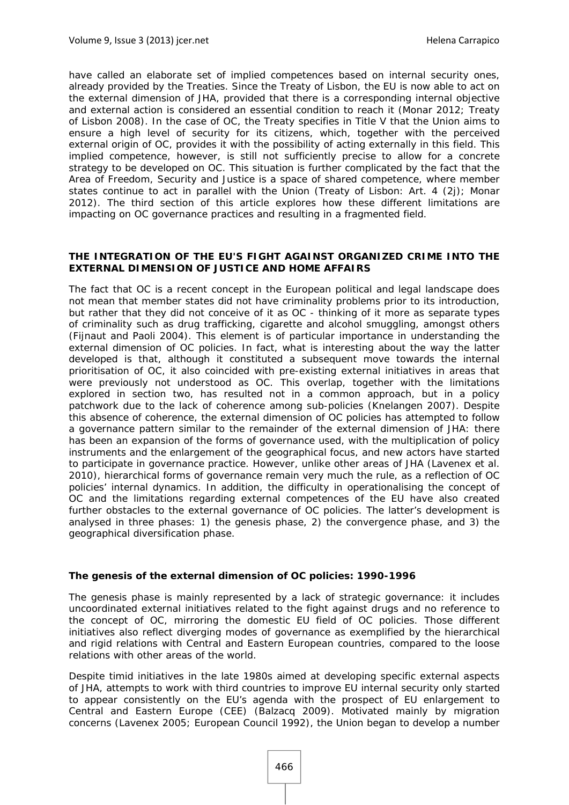have called an elaborate set of implied competences based on internal security ones, already provided by the Treaties. Since the Treaty of Lisbon, the EU is now able to act on the external dimension of JHA, provided that there is a corresponding internal objective and external action is considered an essential condition to reach it (Monar 2012; Treaty of Lisbon 2008). In the case of OC, the Treaty specifies in Title V that the Union aims to ensure a high level of security for its citizens, which, together with the perceived external origin of OC, provides it with the possibility of acting externally in this field. This implied competence, however, is still not sufficiently precise to allow for a concrete strategy to be developed on OC. This situation is further complicated by the fact that the Area of Freedom, Security and Justice is a space of shared competence, where member states continue to act in parallel with the Union (Treaty of Lisbon: Art. 4 (2j); Monar 2012). The third section of this article explores how these different limitations are impacting on OC governance practices and resulting in a fragmented field.

#### **THE INTEGRATION OF THE EU'S FIGHT AGAINST ORGANIZED CRIME INTO THE EXTERNAL DIMENSION OF JUSTICE AND HOME AFFAIRS**

The fact that OC is a recent concept in the European political and legal landscape does not mean that member states did not have criminality problems prior to its introduction, but rather that they did not conceive of it as OC - thinking of it more as separate types of criminality such as drug trafficking, cigarette and alcohol smuggling, amongst others (Fijnaut and Paoli 2004). This element is of particular importance in understanding the external dimension of OC policies. In fact, what is interesting about the way the latter developed is that, although it constituted a subsequent move towards the internal prioritisation of OC, it also coincided with pre-existing external initiatives in areas that were previously not understood as OC. This overlap, together with the limitations explored in section two, has resulted not in a common approach, but in a policy patchwork due to the lack of coherence among sub-policies (Knelangen 2007). Despite this absence of coherence, the external dimension of OC policies has attempted to follow a governance pattern similar to the remainder of the external dimension of JHA: there has been an expansion of the forms of governance used, with the multiplication of policy instruments and the enlargement of the geographical focus, and new actors have started to participate in governance practice. However, unlike other areas of JHA (Lavenex et al. 2010), hierarchical forms of governance remain very much the rule, as a reflection of OC policies' internal dynamics. In addition, the difficulty in operationalising the concept of OC and the limitations regarding external competences of the EU have also created further obstacles to the external governance of OC policies. The latter's development is analysed in three phases: 1) the genesis phase, 2) the convergence phase, and 3) the geographical diversification phase.

#### **The genesis of the external dimension of OC policies: 1990-1996**

The genesis phase is mainly represented by a lack of strategic governance: it includes uncoordinated external initiatives related to the fight against drugs and no reference to the concept of OC, mirroring the domestic EU field of OC policies. Those different initiatives also reflect diverging modes of governance as exemplified by the hierarchical and rigid relations with Central and Eastern European countries, compared to the loose relations with other areas of the world.

Despite timid initiatives in the late 1980s aimed at developing specific external aspects of JHA, attempts to work with third countries to improve EU internal security only started to appear consistently on the EU's agenda with the prospect of EU enlargement to Central and Eastern Europe (CEE) (Balzacq 2009). Motivated mainly by migration concerns (Lavenex 2005; European Council 1992), the Union began to develop a number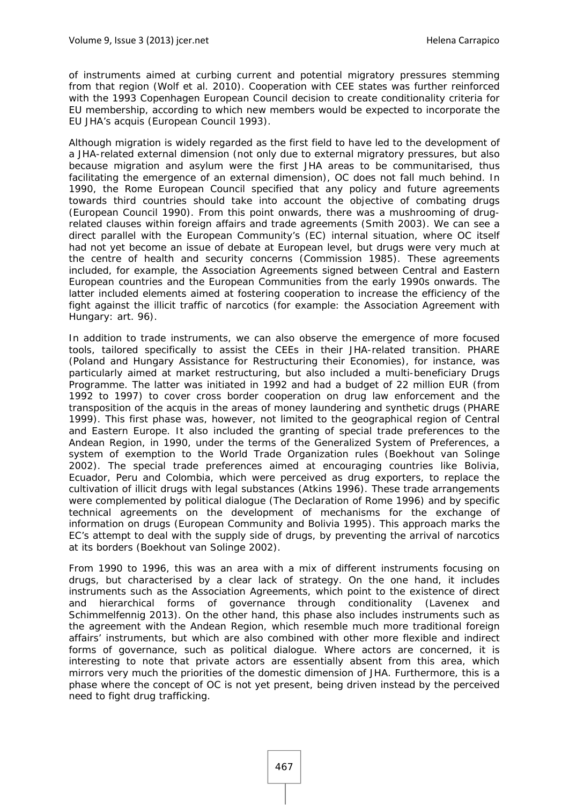of instruments aimed at curbing current and potential migratory pressures stemming from that region (Wolf et al. 2010). Cooperation with CEE states was further reinforced with the 1993 Copenhagen European Council decision to create conditionality criteria for EU membership, according to which new members would be expected to incorporate the EU JHA's *acquis* (European Council 1993).

Although migration is widely regarded as the first field to have led to the development of a JHA-related external dimension (not only due to external migratory pressures, but also because migration and asylum were the first JHA areas to be communitarised, thus facilitating the emergence of an external dimension), OC does not fall much behind. In 1990, the Rome European Council specified that any policy and future agreements towards third countries should take into account the objective of combating drugs (European Council 1990). From this point onwards, there was a mushrooming of drugrelated clauses within foreign affairs and trade agreements (Smith 2003). We can see a direct parallel with the European Community's (EC) internal situation, where OC itself had not yet become an issue of debate at European level, but drugs were very much at the centre of health and security concerns (Commission 1985). These agreements included, for example, the Association Agreements signed between Central and Eastern European countries and the European Communities from the early 1990s onwards. The latter included elements aimed at fostering cooperation to increase the efficiency of the fight against the illicit traffic of narcotics (for example: the Association Agreement with Hungary: art. 96).

In addition to trade instruments, we can also observe the emergence of more focused tools, tailored specifically to assist the CEEs in their JHA-related transition. PHARE (Poland and Hungary Assistance for Restructuring their Economies), for instance, was particularly aimed at market restructuring, but also included a multi-beneficiary Drugs Programme. The latter was initiated in 1992 and had a budget of 22 million EUR (from 1992 to 1997) to cover cross border cooperation on drug law enforcement and the transposition of the *acquis* in the areas of money laundering and synthetic drugs (PHARE 1999). This first phase was, however, not limited to the geographical region of Central and Eastern Europe. It also included the granting of special trade preferences to the Andean Region, in 1990, under the terms of the Generalized System of Preferences, a system of exemption to the World Trade Organization rules (Boekhout van Solinge 2002). The special trade preferences aimed at encouraging countries like Bolivia, Ecuador, Peru and Colombia, which were perceived as drug exporters, to replace the cultivation of illicit drugs with legal substances (Atkins 1996). These trade arrangements were complemented by political dialogue (The Declaration of Rome 1996) and by specific technical agreements on the development of mechanisms for the exchange of information on drugs (European Community and Bolivia 1995). This approach marks the EC's attempt to deal with the supply side of drugs, by preventing the arrival of narcotics at its borders (Boekhout van Solinge 2002).

From 1990 to 1996, this was an area with a mix of different instruments focusing on drugs, but characterised by a clear lack of strategy. On the one hand, it includes instruments such as the Association Agreements, which point to the existence of direct and hierarchical forms of governance through conditionality (Lavenex and Schimmelfennig 2013). On the other hand, this phase also includes instruments such as the agreement with the Andean Region, which resemble much more traditional foreign affairs' instruments, but which are also combined with other more flexible and indirect forms of governance, such as political dialogue. Where actors are concerned, it is interesting to note that private actors are essentially absent from this area, which mirrors very much the priorities of the domestic dimension of JHA. Furthermore, this is a phase where the concept of OC is not yet present, being driven instead by the perceived need to fight drug trafficking.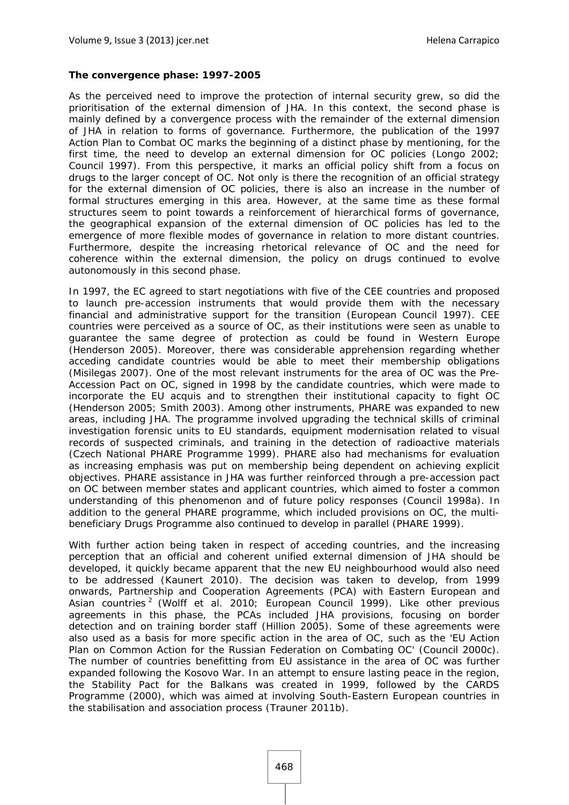#### **The convergence phase: 1997-2005**

As the perceived need to improve the protection of internal security grew, so did the prioritisation of the external dimension of JHA. In this context, the second phase is mainly defined by a convergence process with the remainder of the external dimension of JHA in relation to forms of governance. Furthermore, the publication of the 1997 Action Plan to Combat OC marks the beginning of a distinct phase by mentioning, for the first time, the need to develop an external dimension for OC policies (Longo 2002; Council 1997). From this perspective, it marks an official policy shift from a focus on drugs to the larger concept of OC. Not only is there the recognition of an official strategy for the external dimension of OC policies, there is also an increase in the number of formal structures emerging in this area. However, at the same time as these formal structures seem to point towards a reinforcement of hierarchical forms of governance, the geographical expansion of the external dimension of OC policies has led to the emergence of more flexible modes of governance in relation to more distant countries. Furthermore, despite the increasing rhetorical relevance of OC and the need for coherence within the external dimension, the policy on drugs continued to evolve autonomously in this second phase.

In 1997, the EC agreed to start negotiations with five of the CEE countries and proposed to launch pre-accession instruments that would provide them with the necessary financial and administrative support for the transition (European Council 1997). CEE countries were perceived as a source of OC, as their institutions were seen as unable to guarantee the same degree of protection as could be found in Western Europe (Henderson 2005). Moreover, there was considerable apprehension regarding whether acceding candidate countries would be able to meet their membership obligations (Misilegas 2007). One of the most relevant instruments for the area of OC was the Pre-Accession Pact on OC, signed in 1998 by the candidate countries, which were made to incorporate the EU *acquis* and to strengthen their institutional capacity to fight OC (Henderson 2005; Smith 2003). Among other instruments, PHARE was expanded to new areas, including JHA. The programme involved upgrading the technical skills of criminal investigation forensic units to EU standards, equipment modernisation related to visual records of suspected criminals, and training in the detection of radioactive materials (Czech National PHARE Programme 1999). PHARE also had mechanisms for evaluation as increasing emphasis was put on membership being dependent on achieving explicit objectives. PHARE assistance in JHA was further reinforced through a pre-accession pact on OC between member states and applicant countries, which aimed to foster a common understanding of this phenomenon and of future policy responses (Council 1998a). In addition to the general PHARE programme, which included provisions on OC, the multibeneficiary Drugs Programme also continued to develop in parallel (PHARE 1999).

With further action being taken in respect of acceding countries, and the increasing perception that an official and coherent unified external dimension of JHA should be developed, it quickly became apparent that the new EU neighbourhood would also need to be addressed (Kaunert 2010). The decision was taken to develop, from 1999 onwards, Partnership and Cooperation Agreements (PCA) with Eastern European and Asian countries<sup>2</sup> (Wolff et al. 2010; European Council 1999). Like other previous agreements in this phase, the PCAs included JHA provisions, focusing on border detection and on training border staff (Hillion 2005). Some of these agreements were also used as a basis for more specific action in the area of OC, such as the 'EU Action Plan on Common Action for the Russian Federation on Combating OC' (Council 2000c). The number of countries benefitting from EU assistance in the area of OC was further expanded following the Kosovo War. In an attempt to ensure lasting peace in the region, the Stability Pact for the Balkans was created in 1999, followed by the CARDS Programme (2000), which was aimed at involving South-Eastern European countries in the stabilisation and association process (Trauner 2011b).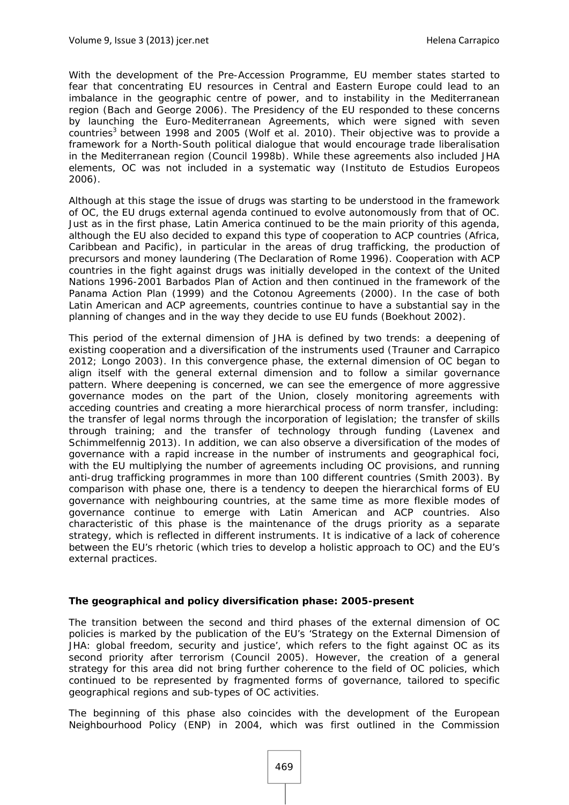With the development of the Pre-Accession Programme, EU member states started to fear that concentrating EU resources in Central and Eastern Europe could lead to an imbalance in the geographic centre of power, and to instability in the Mediterranean region (Bach and George 2006). The Presidency of the EU responded to these concerns by launching the Euro-Mediterranean Agreements, which were signed with seven countries<sup>3</sup> between 1998 and 2005 (Wolf et al. 2010). Their objective was to provide a framework for a North-South political dialogue that would encourage trade liberalisation in the Mediterranean region (Council 1998b). While these agreements also included JHA elements, OC was not included in a systematic way (Instituto de Estudios Europeos 2006).

Although at this stage the issue of drugs was starting to be understood in the framework of OC, the EU drugs external agenda continued to evolve autonomously from that of OC. Just as in the first phase, Latin America continued to be the main priority of this agenda, although the EU also decided to expand this type of cooperation to ACP countries (Africa, Caribbean and Pacific), in particular in the areas of drug trafficking, the production of precursors and money laundering (The Declaration of Rome 1996). Cooperation with ACP countries in the fight against drugs was initially developed in the context of the United Nations 1996-2001 Barbados Plan of Action and then continued in the framework of the Panama Action Plan (1999) and the Cotonou Agreements (2000). In the case of both Latin American and ACP agreements, countries continue to have a substantial say in the planning of changes and in the way they decide to use EU funds (Boekhout 2002).

This period of the external dimension of JHA is defined by two trends: a deepening of existing cooperation and a diversification of the instruments used (Trauner and Carrapico 2012; Longo 2003). In this convergence phase, the external dimension of OC began to align itself with the general external dimension and to follow a similar governance pattern. Where deepening is concerned, we can see the emergence of more aggressive governance modes on the part of the Union, closely monitoring agreements with acceding countries and creating a more hierarchical process of norm transfer, including: the transfer of legal norms through the incorporation of legislation; the transfer of skills through training; and the transfer of technology through funding (Lavenex and Schimmelfennig 2013). In addition, we can also observe a diversification of the modes of governance with a rapid increase in the number of instruments and geographical foci, with the EU multiplying the number of agreements including OC provisions, and running anti-drug trafficking programmes in more than 100 different countries (Smith 2003). By comparison with phase one, there is a tendency to deepen the hierarchical forms of EU governance with neighbouring countries, at the same time as more flexible modes of governance continue to emerge with Latin American and ACP countries. Also characteristic of this phase is the maintenance of the drugs priority as a separate strategy, which is reflected in different instruments. It is indicative of a lack of coherence between the EU's rhetoric (which tries to develop a holistic approach to OC) and the EU's external practices.

#### **The geographical and policy diversification phase: 2005-present**

The transition between the second and third phases of the external dimension of OC policies is marked by the publication of the EU's 'Strategy on the External Dimension of JHA: global freedom, security and justice', which refers to the fight against OC as its second priority after terrorism (Council 2005). However, the creation of a general strategy for this area did not bring further coherence to the field of OC policies, which continued to be represented by fragmented forms of governance, tailored to specific geographical regions and sub-types of OC activities.

The beginning of this phase also coincides with the development of the European Neighbourhood Policy (ENP) in 2004, which was first outlined in the Commission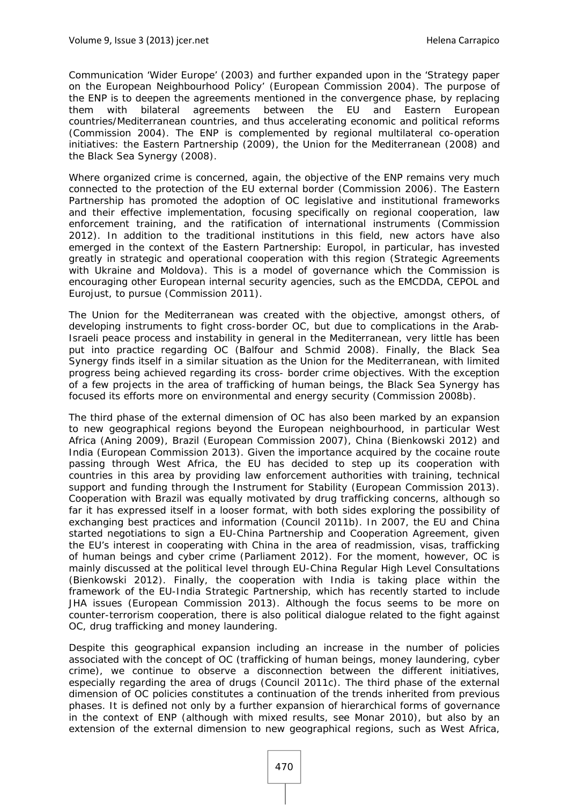Communication 'Wider Europe' (2003) and further expanded upon in the 'Strategy paper on the European Neighbourhood Policy' (European Commission 2004). The purpose of the ENP is to deepen the agreements mentioned in the convergence phase, by replacing them with bilateral agreements between the EU and Eastern European countries/Mediterranean countries, and thus accelerating economic and political reforms (Commission 2004). The ENP is complemented by regional multilateral co-operation initiatives: the Eastern Partnership (2009), the Union for the Mediterranean (2008) and the Black Sea Synergy (2008).

Where organized crime is concerned, again, the objective of the ENP remains very much connected to the protection of the EU external border (Commission 2006). The Eastern Partnership has promoted the adoption of OC legislative and institutional frameworks and their effective implementation, focusing specifically on regional cooperation, law enforcement training, and the ratification of international instruments (Commission 2012). In addition to the traditional institutions in this field, new actors have also emerged in the context of the Eastern Partnership: Europol, in particular, has invested greatly in strategic and operational cooperation with this region (Strategic Agreements with Ukraine and Moldova). This is a model of governance which the Commission is encouraging other European internal security agencies, such as the EMCDDA, CEPOL and Eurojust, to pursue (Commission 2011).

The Union for the Mediterranean was created with the objective, amongst others, of developing instruments to fight cross-border OC, but due to complications in the Arab-Israeli peace process and instability in general in the Mediterranean, very little has been put into practice regarding OC (Balfour and Schmid 2008). Finally, the Black Sea Synergy finds itself in a similar situation as the Union for the Mediterranean, with limited progress being achieved regarding its cross- border crime objectives. With the exception of a few projects in the area of trafficking of human beings, the Black Sea Synergy has focused its efforts more on environmental and energy security (Commission 2008b).

The third phase of the external dimension of OC has also been marked by an expansion to new geographical regions beyond the European neighbourhood, in particular West Africa (Aning 2009), Brazil (European Commission 2007), China (Bienkowski 2012) and India (European Commission 2013). Given the importance acquired by the cocaine route passing through West Africa, the EU has decided to step up its cooperation with countries in this area by providing law enforcement authorities with training, technical support and funding through the Instrument for Stability (European Commission 2013). Cooperation with Brazil was equally motivated by drug trafficking concerns, although so far it has expressed itself in a looser format, with both sides exploring the possibility of exchanging best practices and information (Council 2011b). In 2007, the EU and China started negotiations to sign a EU-China Partnership and Cooperation Agreement, given the EU's interest in cooperating with China in the area of readmission, visas, trafficking of human beings and cyber crime (Parliament 2012). For the moment, however, OC is mainly discussed at the political level through EU-China Regular High Level Consultations (Bienkowski 2012). Finally, the cooperation with India is taking place within the framework of the EU-India Strategic Partnership, which has recently started to include JHA issues (European Commission 2013). Although the focus seems to be more on counter-terrorism cooperation, there is also political dialogue related to the fight against OC, drug trafficking and money laundering.

Despite this geographical expansion including an increase in the number of policies associated with the concept of OC (trafficking of human beings, money laundering, cyber crime), we continue to observe a disconnection between the different initiatives, especially regarding the area of drugs (Council 2011c). The third phase of the external dimension of OC policies constitutes a continuation of the trends inherited from previous phases. It is defined not only by a further expansion of hierarchical forms of governance in the context of ENP (although with mixed results, see Monar 2010), but also by an extension of the external dimension to new geographical regions, such as West Africa,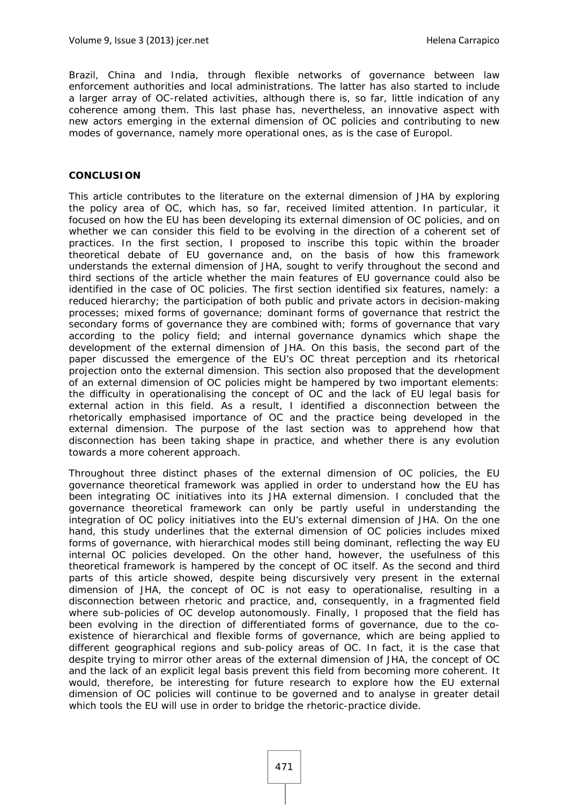Brazil, China and India, through flexible networks of governance between law enforcement authorities and local administrations. The latter has also started to include a larger array of OC-related activities, although there is, so far, little indication of any coherence among them. This last phase has, nevertheless, an innovative aspect with new actors emerging in the external dimension of OC policies and contributing to new modes of governance, namely more operational ones, as is the case of Europol.

#### **CONCLUSION**

This article contributes to the literature on the external dimension of JHA by exploring the policy area of OC, which has, so far, received limited attention. In particular, it focused on how the EU has been developing its external dimension of OC policies, and on whether we can consider this field to be evolving in the direction of a coherent set of practices. In the first section, I proposed to inscribe this topic within the broader theoretical debate of EU governance and, on the basis of how this framework understands the external dimension of JHA, sought to verify throughout the second and third sections of the article whether the main features of EU governance could also be identified in the case of OC policies. The first section identified six features, namely: a reduced hierarchy; the participation of both public and private actors in decision-making processes; mixed forms of governance; dominant forms of governance that restrict the secondary forms of governance they are combined with; forms of governance that vary according to the policy field; and internal governance dynamics which shape the development of the external dimension of JHA. On this basis, the second part of the paper discussed the emergence of the EU's OC threat perception and its rhetorical projection onto the external dimension. This section also proposed that the development of an external dimension of OC policies might be hampered by two important elements: the difficulty in operationalising the concept of OC and the lack of EU legal basis for external action in this field. As a result, I identified a disconnection between the rhetorically emphasised importance of OC and the practice being developed in the external dimension. The purpose of the last section was to apprehend how that disconnection has been taking shape in practice, and whether there is any evolution towards a more coherent approach.

Throughout three distinct phases of the external dimension of OC policies, the EU governance theoretical framework was applied in order to understand how the EU has been integrating OC initiatives into its JHA external dimension. I concluded that the governance theoretical framework can only be partly useful in understanding the integration of OC policy initiatives into the EU's external dimension of JHA. On the one hand, this study underlines that the external dimension of OC policies includes mixed forms of governance, with hierarchical modes still being dominant, reflecting the way EU internal OC policies developed. On the other hand, however, the usefulness of this theoretical framework is hampered by the concept of OC itself. As the second and third parts of this article showed, despite being discursively very present in the external dimension of JHA, the concept of OC is not easy to operationalise, resulting in a disconnection between rhetoric and practice, and, consequently, in a fragmented field where sub-policies of OC develop autonomously. Finally, I proposed that the field has been evolving in the direction of differentiated forms of governance, due to the coexistence of hierarchical and flexible forms of governance, which are being applied to different geographical regions and sub-policy areas of OC. In fact, it is the case that despite trying to mirror other areas of the external dimension of JHA, the concept of OC and the lack of an explicit legal basis prevent this field from becoming more coherent. It would, therefore, be interesting for future research to explore how the EU external dimension of OC policies will continue to be governed and to analyse in greater detail which tools the EU will use in order to bridge the rhetoric-practice divide.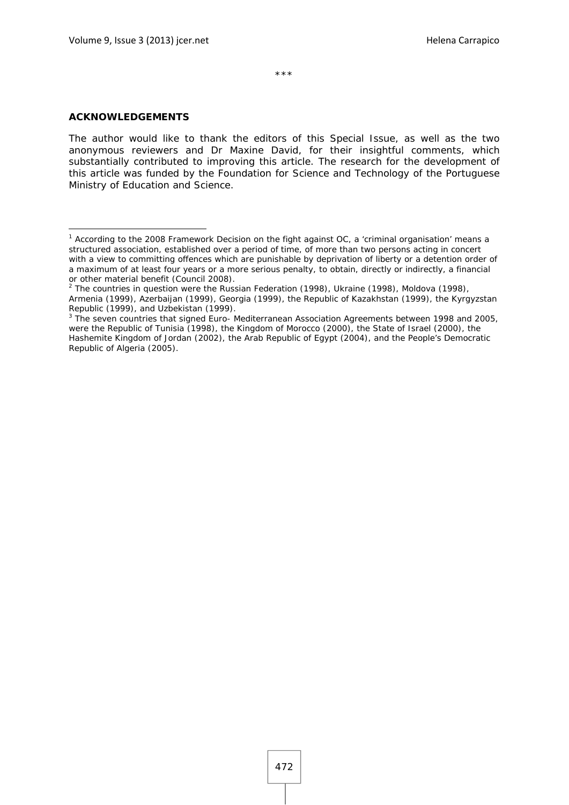\*\*\*

#### **ACKNOWLEDGEMENTS**

1

The author would like to thank the editors of this Special Issue, as well as the two anonymous reviewers and Dr Maxine David, for their insightful comments, which substantially contributed to improving this article. The research for the development of this article was funded by the Foundation for Science and Technology of the Portuguese Ministry of Education and Science.

<sup>&</sup>lt;sup>1</sup> According to the 2008 Framework Decision on the fight against OC, a 'criminal organisation' means a structured association, established over a period of time, of more than two persons acting in concert with a view to committing offences which are punishable by deprivation of liberty or a detention order of a maximum of at least four years or a more serious penalty, to obtain, directly or indirectly, a financial or other material benefit (Council 2008).

 $2$  The countries in question were the Russian Federation (1998), Ukraine (1998), Moldova (1998), Armenia (1999), Azerbaijan (1999), Georgia (1999), the Republic of Kazakhstan (1999), the Kyrgyzstan Republic (1999), and Uzbekistan (1999).

<sup>&</sup>lt;sup>3</sup> The seven countries that signed Euro- Mediterranean Association Agreements between 1998 and 2005, were the Republic of Tunisia (1998), the Kingdom of Morocco (2000), the State of Israel (2000), the Hashemite Kingdom of Jordan (2002), the Arab Republic of Egypt (2004), and the People's Democratic Republic of Algeria (2005).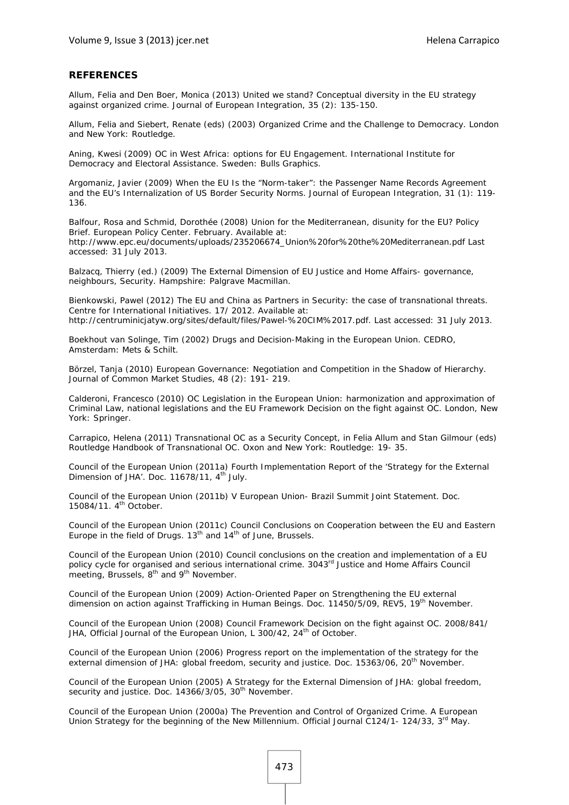#### **REFERENCES**

Allum, Felia and Den Boer, Monica (2013) United we stand? Conceptual diversity in the EU strategy against organized crime. *Journal of European Integration*, 35 (2): 135-150.

Allum, Felia and Siebert, Renate (eds) (2003) *Organized Crime and the Challenge to Democracy*. London and New York: Routledge.

Aning, Kwesi (2009) *OC in West Africa: options for EU Engagement*. International Institute for Democracy and Electoral Assistance. Sweden: Bulls Graphics.

Argomaniz, Javier (2009) When the EU Is the "Norm-taker": the Passenger Name Records Agreement and the EU's Internalization of US Border Security Norms. *Journal of European Integration,* 31 (1): 119- 136.

Balfour, Rosa and Schmid, Dorothée (2008) *Union for the Mediterranean, disunity for the EU?* Policy Brief. European Policy Center. February. Available at: http://www.epc.eu/documents/uploads/235206674\_Union%20for%20the%20Mediterranean.pdf Last accessed: 31 July 2013.

Balzacq, Thierry (ed.) (2009) *The External Dimension of EU Justice and Home Affairs- governance, neighbours, Security*. Hampshire: Palgrave Macmillan.

Bienkowski, Pawel (2012) *The EU and China as Partners in Security: the case of transnational threats*. Centre for International Initiatives. 17/ 2012. Available at: http://centruminicjatyw.org/sites/default/files/Pawel-%20CIM%2017.pdf. Last accessed: 31 July 2013.

Boekhout van Solinge, Tim (2002) *Drugs and Decision-Making in the European Union*. CEDRO, Amsterdam: Mets & Schilt.

Börzel, Tanja (2010) European Governance: Negotiation and Competition in the Shadow of Hierarchy. *Journal of Common Market Studies*, 48 (2): 191- 219.

Calderoni, Francesco (2010) *OC Legislation in the European Union: harmonization and approximation of Criminal Law, national legislations and the EU Framework Decision on the fight against OC*. London, New York: Springer.

Carrapico, Helena (2011) Transnational OC as a Security Concept, in Felia Allum and Stan Gilmour (eds) Routledge Handbook of Transnational OC. Oxon and New York: Routledge: 19- 35.

Council of the European Union (2011a) *Fourth Implementation Report of the 'Strategy for the External*  Dimension of JHA'. Doc. 11678/11, 4<sup>th</sup> July.

Council of the European Union (2011b) *V European Union- Brazil Summit Joint Statement*. Doc. 15084/11. 4<sup>th</sup> October.

Council of the European Union (2011c) *Council Conclusions on Cooperation between the EU and Eastern Europe in the field of Drugs*. 13<sup>th</sup> and 14<sup>th</sup> of June, Brussels.

Council of the European Union (2010) *Council conclusions on the creation and implementation of a EU policy cycle for organised and serious international crime*. 3043rd Justice and Home Affairs Council meeting, Brussels, 8<sup>th</sup> and 9<sup>th</sup> November.

Council of the European Union (2009) *Action-Oriented Paper on Strengthening the EU external dimension on action against Trafficking in Human Beings*. Doc. 11450/5/09, REV5, 19th November.

Council of the European Union (2008) *Council Framework Decision on the fight against OC*. 2008/841/ JHA, Official Journal of the European Union, L 300/42, 24<sup>th</sup> of October.

Council of the European Union (2006) *Progress report on the implementation of the strategy for the external dimension of JHA: global freedom, security and justice*. Doc. 15363/06, 20th November.

Council of the European Union (2005) *A Strategy for the External Dimension of JHA: global freedom,*  security and justice. Doc. 14366/3/05, 30<sup>th</sup> November.

Council of the European Union (2000a) *The Prevention and Control of Organized Crime. A European Union Strategy for the beginning of the New Millennium*. Official Journal C124/1- 124/33, 3rd May.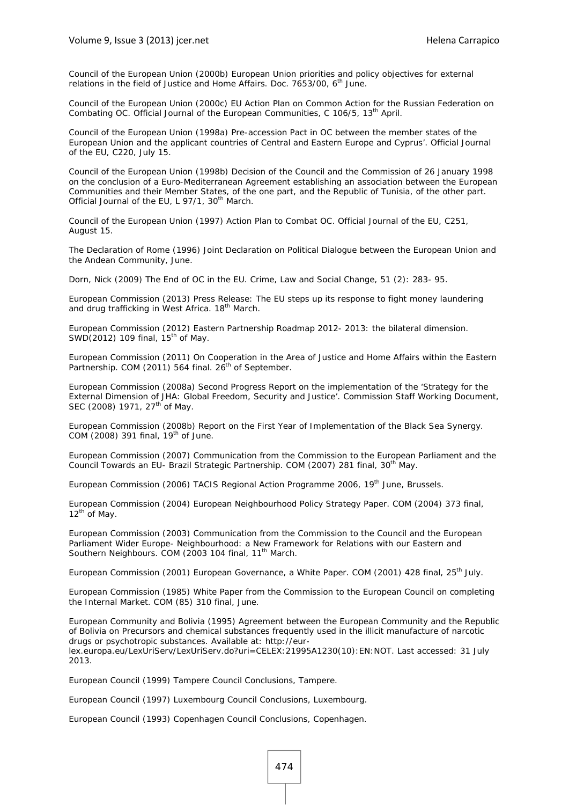Council of the European Union (2000b) *European Union priorities and policy objectives for external relations in the field of Justice and Home Affairs*. Doc. 7653/00, 6<sup>th</sup> June.

Council of the European Union (2000c) EU Action Plan on Common Action for the Russian Federation on Combating OC. *Official Journal of the European Communities*, C 106/5, 13th April.

Council of the European Union (1998a) Pre-accession Pact in OC between the member states of the European Union and the applicant countries of Central and Eastern Europe and Cyprus'. *Official Journal of the EU*, C220, July 15.

Council of the European Union (1998b) Decision of the Council and the Commission of 26 January 1998 on the conclusion of a Euro-Mediterranean Agreement establishing an association between the European Communities and their Member States, of the one part, and the Republic of Tunisia, of the other part. *Official Journal of the EU, L 97/1, 30<sup>th</sup> March.* 

Council of the European Union (1997) Action Plan to Combat OC. *Official Journal of the EU*, C251, August 15.

The Declaration of Rome (1996) *Joint Declaration on Political Dialogue between the European Union and the Andean Community*, June.

Dorn, Nick (2009) The End of OC in the EU. *Crime, Law and Social Change*, 51 (2): 283- 95.

European Commission (2013) *Press Release: The EU steps up its response to fight money laundering*  and drug trafficking in West Africa. 18<sup>th</sup> March.

European Commission (2012) *Eastern Partnership Roadmap 2012- 2013: the bilateral dimension*. SWD(2012) 109 final,  $15<sup>th</sup>$  of May.

European Commission (2011) *On Cooperation in the Area of Justice and Home Affairs within the Eastern*  Partnership. COM (2011) 564 final. 26<sup>th</sup> of September.

European Commission (2008a) *Second Progress Report on the implementation of the 'Strategy for the External Dimension of JHA: Global Freedom, Security and Justice'*. Commission Staff Working Document, SEC (2008) 1971, 27<sup>th</sup> of May.

European Commission (2008b) *Report on the First Year of Implementation of the Black Sea Synergy*. COM (2008) 391 final,  $19<sup>th</sup>$  of June.

European Commission (2007) *Communication from the Commission to the European Parliament and the Council Towards an EU- Brazil Strategic Partnership. COM (2007) 281 final, 30<sup>th</sup> May.* 

European Commission (2006) *TACIS Regional Action Programme 2006*, 19<sup>th</sup> June, Brussels.

European Commission (2004) *European Neighbourhood Policy Strategy Paper*. COM (2004) 373 final,  $12^{th}$  of May.

European Commission (2003) *Communication from the Commission to the Council and the European Parliament Wider Europe- Neighbourhood: a New Framework for Relations with our Eastern and*  Southern Neighbours. COM (2003 104 final, 11<sup>th</sup> March.

European Commission (2001) *European Governance, a White Paper*. COM (2001) 428 final, 25<sup>th</sup> July.

European Commission (1985) *White Paper from the Commission to the European Council on completing the Internal Market*. COM (85) 310 final, June.

European Community and Bolivia (1995) Agreement between the European Community and the Republic of Bolivia on *Precursors and chemical substances frequently used in the illicit manufacture of narcotic drugs or psychotropic substances*. Available at: http://eurlex.europa.eu/LexUriServ/LexUriServ.do?uri=CELEX:21995A1230(10):EN:NOT. Last accessed: 31 July 2013.

European Council (1999) *Tampere Council Conclusions*, Tampere.

European Council (1997) *Luxembourg Council Conclusions*, Luxembourg.

European Council (1993) Copenhagen Council Conclusions, Copenhagen.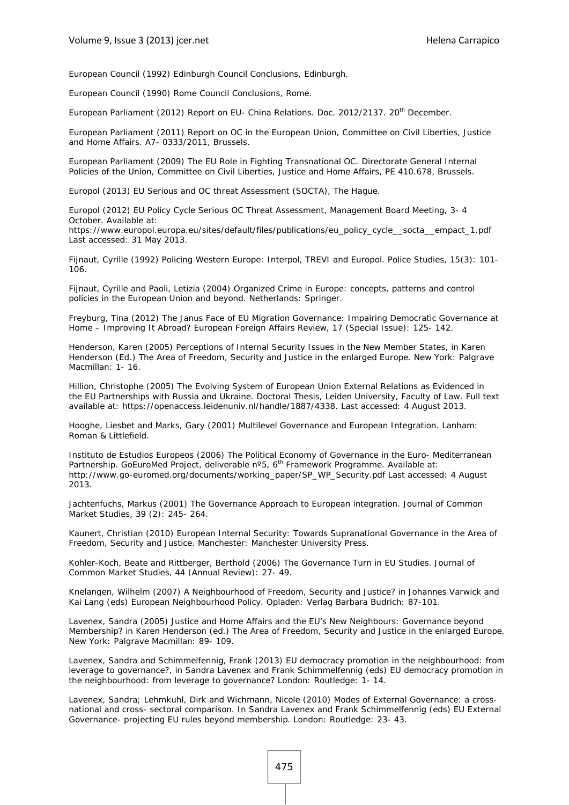European Council (1992) *Edinburgh Council Conclusions*, Edinburgh.

European Council (1990) *Rome Council Conclusions*, Rome.

European Parliament (2012) *Report on EU- China Relations*. Doc. 2012/2137. 20<sup>th</sup> December.

European Parliament (2011) *Report on OC in the European Union*, Committee on Civil Liberties, Justice and Home Affairs. A7- 0333/2011, Brussels.

European Parliament (2009) *The EU Role in Fighting Transnational OC*. Directorate General Internal Policies of the Union, Committee on Civil Liberties, Justice and Home Affairs, PE 410.678, Brussels.

Europol (2013) *EU Serious and OC threat Assessment (SOCTA)*, The Hague.

Europol (2012) EU Policy Cycle Serious OC Threat Assessment, Management Board Meeting, 3- 4 October. Available at:

https://www.europol.europa.eu/sites/default/files/publications/eu\_policy\_cycle\_\_socta\_\_empact\_1.pdf Last accessed: 31 May 2013.

Fijnaut, Cyrille (1992) Policing Western Europe: Interpol, TREVI and Europol. *Police Studies*, *15*(3): 101- 106.

Fijnaut, Cyrille and Paoli, Letizia (2004) *Organized Crime in Europe: concepts, patterns and control policies in the European Union and beyond*. Netherlands: Springer.

Freyburg, Tina (2012) The Janus Face of EU Migration Governance: Impairing Democratic Governance at Home – Improving It Abroad? *European Foreign Affairs Review,* 17 (Special Issue): 125- 142.

Henderson, Karen (2005) Perceptions of Internal Security Issues in the New Member States, in Karen Henderson (Ed.) *The Area of Freedom, Security and Justice in the enlarged Europe*. New York: Palgrave Macmillan: 1- 16.

Hillion, Christophe (2005) *The Evolving System of European Union External Relations as Evidenced in the EU Partnerships with Russia and Ukraine*. Doctoral Thesis, Leiden University, Faculty of Law. Full text available at: https://openaccess.leidenuniv.nl/handle/1887/4338. Last accessed: 4 August 2013.

Hooghe, Liesbet and Marks, Gary (2001) *Multilevel Governance and European Integration*. Lanham: Roman & Littlefield.

Instituto de Estudios Europeos (2006) *The Political Economy of Governance in the Euro- Mediterranean Partnership*. GoEuroMed Project, deliverable n°5, 6<sup>th</sup> Framework Programme. Available at: http://www.go-euromed.org/documents/working\_paper/SP\_WP\_Security.pdf Last accessed: 4 August 2013.

Jachtenfuchs, Markus (2001) *The Governance Approach to European integration*. Journal of Common Market Studies, 39 (2): 245- 264.

Kaunert, Christian (2010) *European Internal Security: Towards Supranational Governance in the Area of Freedom, Security and Justice*. Manchester: Manchester University Press.

Kohler-Koch, Beate and Rittberger, Berthold (2006) The Governance Turn in EU Studies. *Journal of Common Market Studies*, 44 (Annual Review): 27- 49.

Knelangen, Wilhelm (2007) A Neighbourhood of Freedom, Security and Justice? in Johannes Varwick and Kai Lang (eds) *European Neighbourhood Policy*. Opladen: Verlag Barbara Budrich: 87-101.

Lavenex, Sandra (2005) Justice and Home Affairs and the EU's New Neighbours: Governance beyond Membership? in Karen Henderson (ed.) *The Area of Freedom, Security and Justice in the enlarged Europe*. New York: Palgrave Macmillan: 89- 109.

Lavenex, Sandra and Schimmelfennig, Frank (2013) EU democracy promotion in the neighbourhood: from leverage to governance?*, in Sandra* Lavenex and Frank Schimmelfennig (eds) *EU democracy promotion in the neighbourhood: from leverage to governance?* London: Routledge: 1- 14.

Lavenex, Sandra; Lehmkuhl, Dirk and Wichmann, Nicole (2010) Modes of External Governance: a crossnational and cross- sectoral comparison. In Sandra Lavenex and Frank Schimmelfennig (eds) *EU External Governance- projecting EU rules beyond membership*. London: Routledge: 23- 43.